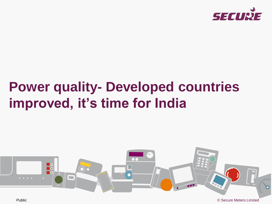

# **Power quality- Developed countries improved, it's time for India**



Public © Secure Meters Limited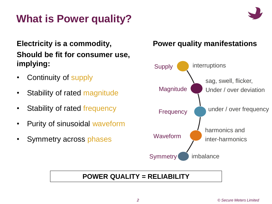### **What is Power quality?**

#### **Electricity is a commodity, Should be fit for consumer use, implying:**

- Continuity of supply
- Stability of rated magnitude
- Stability of rated frequency
- Purity of sinusoidal waveform
- Symmetry across phases

#### **Power quality manifestations**



#### **POWER QUALITY = RELIABILITY**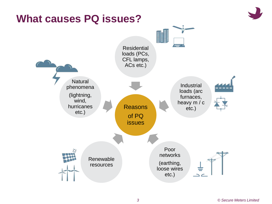

### **What causes PQ issues?**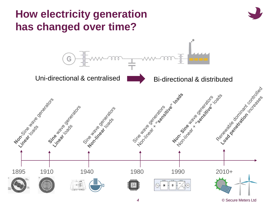

*4* © Secure Meters Ltd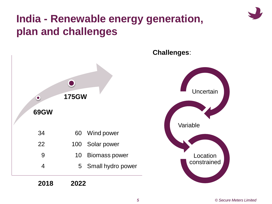### **India - Renewable energy generation, plan and challenges**



#### **Challenges**:

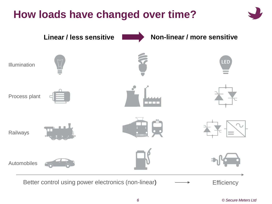### **How loads have changed over time?**

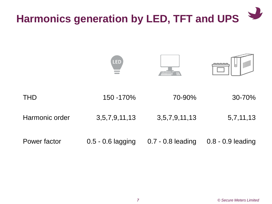# **Harmonics generation by LED, TFT and UPS**

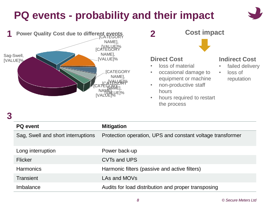### **PQ events - probability and their impact**







- non-productive staff hours
- hours required to restart the process

#### **Indirect Cost**

- failed delivery
- loss of reputation

#### **3**

| <b>PQ</b> event                    | <b>Mitigation</b>                                          |  |
|------------------------------------|------------------------------------------------------------|--|
| Sag, Swell and short interruptions | Protection operation, UPS and constant voltage transformer |  |
| Long interruption                  | Power back-up                                              |  |
| <b>Flicker</b>                     | CVTs and UPS                                               |  |
| <b>Harmonics</b>                   | Harmonic filters (passive and active filters)              |  |
| Transient                          | LAs and MOVs                                               |  |
| Imbalance                          | Audits for load distribution and proper transposing        |  |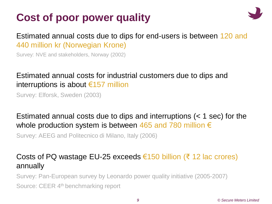### **Cost of poor power quality**



#### Estimated annual costs due to dips for end-users is between 120 and 440 million kr (Norwegian Krone)

Survey: NVE and stakeholders, Norway (2002)

#### Estimated annual costs for industrial customers due to dips and interruptions is about €157 million

Survey: Elforsk, Sweden (2003)

#### Estimated annual costs due to dips and interruptions (< 1 sec) for the whole production system is between 465 and 780 million  $\epsilon$

Survey: AEEG and Politecnico di Milano, Italy (2006)

#### Costs of PQ wastage EU-25 exceeds €150 billion (₹ 12 lac crores) annually

Survey: Pan-European survey by Leonardo power quality initiative (2005-2007)

Source: CEER 4<sup>th</sup> benchmarking report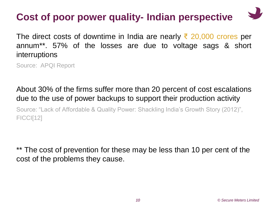### **Cost of poor power quality- Indian perspective**

The direct costs of downtime in India are nearly  $\bar{\xi}$  20,000 crores per annum\*\*. 57% of the losses are due to voltage sags & short interruptions

Source: APQI Report

#### About 30% of the firms suffer more than 20 percent of cost escalations due to the use of power backups to support their production activity

Source: "Lack of Affordable & Quality Power: Shackling India's Growth Story (2012)", FICCI[12]

\*\* The cost of prevention for these may be less than 10 per cent of the cost of the problems they cause.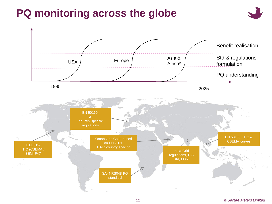### **PQ monitoring across the globe**



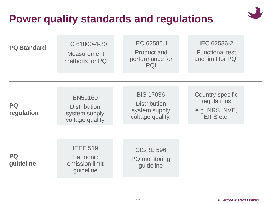

### **Power quality standards and regulations**

| <b>PQ Standard</b>     | IEC 61000-4-30<br><b>Measurement</b><br>methods for PQ                    | IEC 62586-1<br><b>Product and</b><br>performance for<br>PQI                  | IEC 62586-2<br><b>Functional test</b><br>and limit for PQI            |
|------------------------|---------------------------------------------------------------------------|------------------------------------------------------------------------------|-----------------------------------------------------------------------|
|                        |                                                                           |                                                                              |                                                                       |
| PQ<br>regulation       | <b>EN50160</b><br><b>Distribution</b><br>system supply<br>voltage quality | <b>BIS 17036</b><br><b>Distribution</b><br>system supply<br>voltage quality. | <b>Country specific</b><br>regulations<br>e.g. NRS, NVE,<br>EIFS etc. |
| <b>PQ</b><br>guideline | <b>IEEE 519</b><br><b>Harmonic</b><br>emission limit<br>guideline         | <b>CIGRE 596</b><br><b>PQ</b> monitoring<br>guideline                        |                                                                       |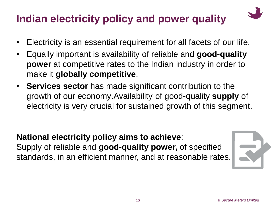# **Indian electricity policy and power quality**

- 
- Electricity is an essential requirement for all facets of our life.
- Equally important is availability of reliable and **good-quality power** at competitive rates to the Indian industry in order to make it **globally competitive**.
- **Services sector** has made significant contribution to the growth of our economy.Availability of good-quality **supply** of electricity is very crucial for sustained growth of this segment.

#### **National electricity policy aims to achieve**: Supply of reliable and **good-quality power,** of specified standards, in an efficient manner, and at reasonable rates.

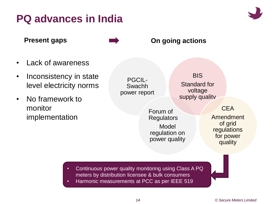### **PQ advances in India**



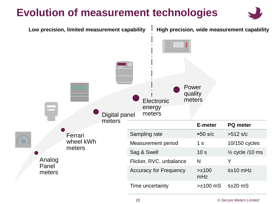### **Evolution of measurement technologies**



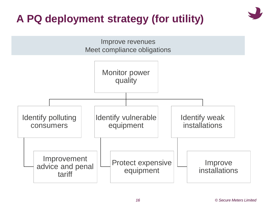# **A PQ deployment strategy (for utility)**

Improve revenues Meet compliance obligations

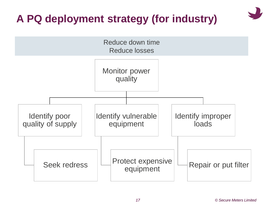# **A PQ deployment strategy (for industry)**

![](_page_16_Figure_1.jpeg)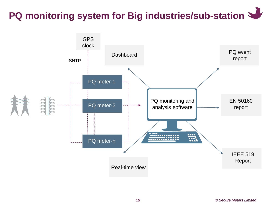### **PQ monitoring system for Big industries/sub-station**

![](_page_17_Figure_1.jpeg)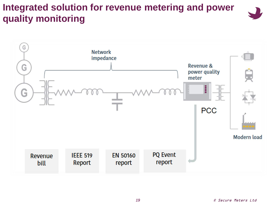#### **Integrated solution for revenue metering and power quality monitoring**

![](_page_18_Picture_1.jpeg)

![](_page_18_Figure_2.jpeg)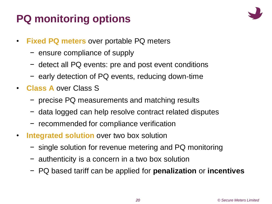# **PQ monitoring options**

![](_page_19_Picture_1.jpeg)

- **Fixed PQ meters** over portable PQ meters
	- − ensure compliance of supply
	- − detect all PQ events: pre and post event conditions
	- − early detection of PQ events, reducing down-time
- **Class A** over Class S
	- − precise PQ measurements and matching results
	- − data logged can help resolve contract related disputes
	- − recommended for compliance verification
- **Integrated solution** over two box solution
	- − single solution for revenue metering and PQ monitoring
	- − authenticity is a concern in a two box solution
	- − PQ based tariff can be applied for **penalization** or **incentives**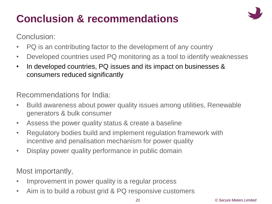# **Conclusion & recommendations**

![](_page_20_Picture_1.jpeg)

Conclusion:

- PQ is an contributing factor to the development of any country
- Developed countries used PQ monitoring as a tool to identify weaknesses
- In developed countries, PQ issues and its impact on businesses & consumers reduced significantly

Recommendations for India:

- Build awareness about power quality issues among utilities, Renewable generators & bulk consumer
- Assess the power quality status & create a baseline
- Regulatory bodies build and implement regulation framework with incentive and penalisation mechanism for power quality
- Display power quality performance in public domain

Most importantly,

- Improvement in power quality is a regular process
- Aim is to build a robust grid & PQ responsive customers